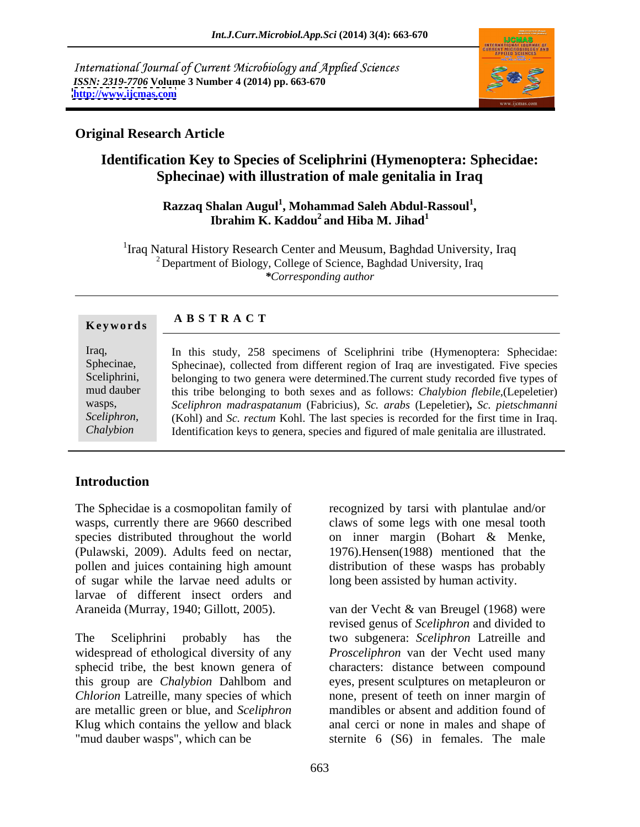International Journal of Current Microbiology and Applied Sciences *ISSN: 2319-7706* **Volume 3 Number 4 (2014) pp. 663-670 <http://www.ijcmas.com>**



## **Original Research Article**

# **Identification Key to Species of Sceliphrini (Hymenoptera: Sphecidae: Sphecinae) with illustration of male genitalia in Iraq**

### $\boldsymbol{\mathsf{R}}$ azzaq Shalan Augul<sup>1</sup>, Mohammad Saleh Abdul-Rassoul<sup>1</sup>, **, Ibrahim K. Kaddou<sup>2</sup> and Hiba M. Jihad<sup>1</sup> and Hiba M. Jihad<sup>1</sup>**

<sup>1</sup>Iraq Natural History Research Center and Meusum, Baghdad University, Iraq  $2$  Department of Biology, College of Science, Baghdad University, Iraq *\*Corresponding author*

| Keywords     | <b>ABSTRACT</b>                                                                       |
|--------------|---------------------------------------------------------------------------------------|
| Iraq,        | In this study, 258 specimens of Sceliphrini tribe (Hymenoptera: Sphecidae:            |
| Sphecinae,   | Sphecinae), collected from different region of Iraq are investigated. Five species    |
| Sceliphrini, | belonging to two genera were determined. The current study recorded five types of     |
| mud dauber   | this tribe belonging to both sexes and as follows: Chalybion flebile, (Lepeletier)    |
| wasps,       | Sceliphron madraspatanum (Fabricius), Sc. arabs (Lepeletier), Sc. pietschmanni        |
| Sceliphron,  | (Kohl) and Sc. rectum Kohl. The last species is recorded for the first time in Iraq.  |
| Chalybion    | Identification keys to genera, species and figured of male genitalia are illustrated. |

## **Introduction**

The Sphecidae is a cosmopolitan family of recognized by tarsi with plantulae and/or wasps, currently there are 9660 described claws of some legs with one mesal tooth species distributed throughout the world on inner margin (Bohart & Menke, (Pulawski, 2009). Adults feed on nectar, 1976).Hensen(1988) mentioned that the pollen and juices containing high amount distribution of these wasps has probably of sugar while the larvae need adults or larvae of different insect orders and

*Chlorion* Latreille, many species of which

long been assisted by human activity.

Araneida (Murray, 1940; Gillott, 2005). van der Vecht & van Breugel (1968) were The Sceliphrini probably has the two subgenera: *Sceliphron* Latreille and widespread of ethological diversity of any *Prosceliphron* van der Vecht used many sphecid tribe, the best known genera of characters: distance between compound this group are *Chalybion* Dahlbom and eyes, present sculptures on metapleuron or are metallic green or blue, and *Sceliphron* mandibles or absent and addition found of Klug which contains the yellow and black anal cerci or none in males and shape of "mud dauber wasps", which can be sternite 6 (S6) in females. The male revised genus of *Sceliphron* and divided to none, present of teeth on inner margin of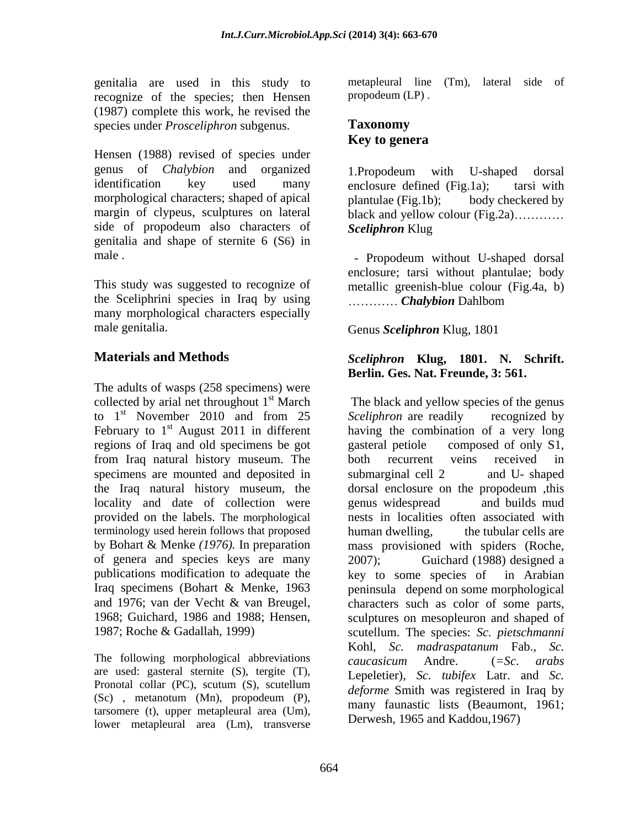genitalia are used in this study to recognize of the species; then Hensen (1987) complete this work, he revised the species under *Prosceliphron* subgenus. **Taxonomy** 

Hensen (1988) revised of species under genus of *Chalybion* and organized identification key used many enclosure-defined (Fig.1a); tarsi with morphological characters; shaped of apical plantulae (Fig.1b); margin of clypeus, sculptures on lateral side of propodeum also characters of genitalia and shape of sternite 6 (S6) in

This study was suggested to recognize of the Sceliphrini species in Iraq by using many morphological characters especially male genitalia. Cenus Sceliphron Klug, 1801

The adults of wasps (258 specimens) were collected by arial net throughout  $1<sup>st</sup> March$ to  $1<sup>st</sup>$  November 2010 and from 25 Sceliphron are readily recognized by regions of Iraq and old specimens be got gasteral petiole composed of only S1, from Iraq natural history museum. The specimens are mounted and deposited in submarginal cell 2 and U- shaped locality and date of collection were senus widespread and builds mud terminology used herein follows that proposed human dwelling, of genera and species keys are many 2007); Guichard (1988) designed a publications modification to adequate the last key to some species of in Arabian

The following morphological abbreviations caucasicum Andre.  $(=Sc. arabs)$ are used: gasteral sternite (S), tergite (T), (Sc) , metanotum (Mn), propodeum (P), tarsomere (t), upper metapleural area (Um), lower metapleural area (Lm), transverse

metapleural line (Tm), lateral side of propodeum (LP) .

## **Taxonomy Key to genera**

1.Propodeum with U-shaped dorsal enclosure defined (Fig.1a); tarsi with body checkered by black and yellow colour  $(Fig.2a)$ .......... *Sceliphron* Klug

male . The contract of the contract of the Propodeum without U-shaped dorsal enclosure; tarsi without plantulae; body metallic greenish-blue colour (Fig.4a, b) *Chalybion* Dahlbom

Genus *Sceliphron* Klug, 1801

### **Materials and Methods** *Sceliphron* **Klug, 1801. N. Schrift. Berlin. Ges. Nat. Freunde, 3: 561.**

<sup>st</sup> March The black and yellow species of the genus <sup>st</sup> November 2010 and from 25 Sceliphron are readily recognized by February to  $1<sup>st</sup>$  August 2011 in different having the combination of a very long the Iraq natural history museum, the dorsal enclosure on the propodeum ,this provided on the labels. The morphological nests in localities often associated with by Bohart & Menke *(1976).* In preparation mass provisioned with spiders (Roche, Iraq specimens (Bohart & Menke, 1963 peninsula depend on some morphological and 1976; van der Vecht & van Breugel, characters such as color of some parts, 1968; Guichard, 1986 and 1988; Hensen, sculptures on mesopleuron and shaped of 1987; Roche & Gadallah, 1999) scutellum. The species: *Sc. pietschmanni* Pronotal collar  $(PC)$ , scutum  $(S)$ , scutellum deforme  $S$  mith was registered in Iraq by *Sceliphron* are readily recognized by gasteral petiole composed of only S1, both recurrent veins received in submarginal cell 2 and U- shaped genus widespread and builds mud the tubular cells are 2007); Guichard (1988) designed a key to some species of in Arabian Kohl, *Sc. madraspatanum* Fab., *Sc. caucasicum* Andre. (*=Sc*. *arabs* Lepeletier), *Sc. tubifex* Latr. and *Sc. deforme* Smith was registered in Iraq by many faunastic lists (Beaumont, 1961; Derwesh, 1965 and Kaddou,1967)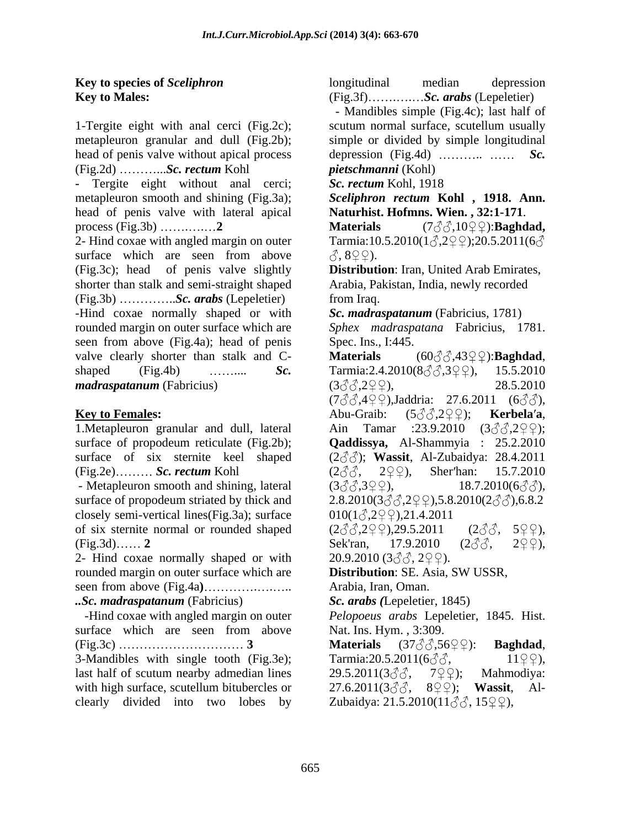1-Tergite eight with anal cerci (Fig.2c); metapleuron granular and dull (Fig.2b); simple or divided by simple longitudinal head of penis valve without apical process (Fig.2d) ...*Sc. rectum* Kohl

**-** Tergite eight without anal cerci; Sc. rectum Kohl, 1918 metapleuron smooth and shining (Fig.3a); head of penis valve with lateral apical process (Fig.3b)  $\ldots$  2 **Materials**  $(7\textcircled{3}3\textcircled{10}\textcircled{2})$ :**Baghdad**,

2- Hind coxae with angled margin on outer  $\qquad$  Tarmia:10.5.2010(1 $\circ$ ,2 $\circ$ );20.5.2011(6 $\circ$ surface which are seen from above  $\Diamond$ ,  $8\degree$ ). (Fig.3c); head of penis valve slightly **Distribution**: Iran, United Arab Emirates, shorter than stalk and semi-straight shaped (Fig.3b) ................*Sc. arabs* (Lepeletier) from Iraq. -Hind coxae normally shaped or with rounded margin on outer surface which are *Sphex madraspatana* Fabricius, 1781. seen from above (Fig.4a); head of penis valve clearly shorter than stalk and C- **Materials**  $(60\text{A}32\text{A}2\text{A}2\text{A})$ :**Baghdad**, shaped (Fig.4b) ........... *Sc.* Tarmia:2.4.2010( $8 \text{A} \text{B} \text{C}$ ), 15.5.2010 *madraspatanum* (Fabricius)  $(3\text{d} \text{d} \text{d} \text{d} \text{d} \text{e}^2)$ ,  $(3\text{d} \text{d} \text{d} \text{d} \text{e}^2)$ 

1. Metapleuron granular and dull, lateral  $\qquad$  Ain Tamar :23.9.2010 (3 $\circ$ 3.2 $\circ$ 2);

- Metapleuron smooth and shining, lateral  $(3\sqrt[3]{3}\sqrt[3]{3}\sqrt[2]{9})$ ,  $(18.7.2010(6\sqrt[3]{9}))$ , surface of propodeum striated by thick and closely semi-vertical lines(Fig.3a); surface  $010(1\textcircled{2},2\textcircled{2})$ ,21.4.2011 of six sternite normal or rounded shaped

2- Hind coxae normally shaped or with  $20.9.2010 (3\text{AA}, 2\text{Q})$ . rounded margin on outer surface which are seen from above (Fig.4a) ... ... ... ... ... ... ...

 -Hind coxae with angled margin on outer *Pelopoeus arabs* Lepeletier, 1845. Hist. surface which are seen from above  $(Fig.3c)$  **3 Materials**  $(37\textcircled{37} \textcircled{37} \textcircled{37} \textcircled{56} \textcircled{2})$ : **Baghdad**,

3-Mandibles with single tooth (Fig.3e); Tarmia:20.5.2011( $6\degree$ ),  $11\degree$ ), last half of scutum nearby admedian lines 29.5.2011( $3\textdegree\textdegree\textdegree\textdegree\textdegree\textdegree$  . Mahmodiya: with high surface, scutellum bitubercles or  $27.6.2011(3\text{AA})$ ,  $8\text{Q}\text{Q}$ ; Wassit, Alclearly divided into two lobes by

**Key to species of** *Sceliphron* **Conserversion Conserversion Conserversion Conserversion Conserversion Conserversion Key to Males:** (Fig.3f).................*Sc. arabs* (Lepeletier) longitudinal median depression

 - Mandibles simple (Fig.4c); last half of scutum normal surface, scutellum usually depression  $(Fig.4d)$   $\dots$   $\dots$   $\dots$ *pietschmanni* (Kohl)

*Sc. rectum* Kohl, 1918

*Sceliphron rectum* **Kohl , 1918. Ann. Naturhist. Hofmns. Wien. , 32:1-171**.

**Materials** (788,1000): **Baghdad,**  $, 8 \Omega \Omega$ ).

Arabia, Pakistan, India, newly recorded from Iraq.

*Sc. madraspatanum* (Fabricius, 1781)

Spec. Ins., I:445.

**Key to Females:**  $\qquad \qquad$  Abu-Graib:  $(5\text{A}3\text{A}2\text{A}\text{A})$ ; **Kerbela'a**, surface of propodeum reticulate (Fig.2b); **Qaddissya,** Al-Shammyia : 25.2.2010 surface of six sternite keel shaped (2 $\textcircled{3}$ ); Wassit, Al-Zubaidya: 28.4.2011 (Fig.2e)......... Sc. rectum Kohl (2♂, 2♀♀), Sher'han: 15.7.2010 (Fig.3d)...... 2 Sek'ran, 17.9.2010  $(2\sqrt[3]{\delta}, 2\sqrt[3]{})$ , 2 $(2\sqrt[3]{\delta})$ *..Sc. madraspatanum* (Fabricius) **Materials** (60 *)* (60 ).<br>Tarmia:2.4.2010(8 ).3 ? ), 15.5.2010  $(3\text{AA}2\text{A}2\text{A}2)$ , 28.5.2010  $(7\text{AA} \oplus \text{AA})$ ,Jaddria: 27.6.2011  $(6\text{AA})$ , Abu-Graib: (5*♂*,2♀♀); **Kerbela'a**,<br>Ain Tamar :23.9.2010 (3*♂ீ,*2♀♀);  $(2\text{d}\text{d}, 2\text{d}\text{d})$ , Sher'han: 15.7.2010  $(3\text{AA}$ ,  $3\text{AA}$ ,  $(3\text{AA}$ ,  $3\text{AA}$ ,  $(3\text{AA})$ ,  $(3\text{AA}$ ,  $(3\text{AA})$ ,  $(3\text{AA})$ ,  $(3\text{AA})$ ,  $(3\text{AA})$ ,  $(3\text{AA})$ ,  $(3\text{AA})$ ,  $(3\text{AA})$ ,  $(3\text{AA})$ ,  $(3\text{AA})$ ,  $(3\text{AA})$ ,  $(3\text{AA})$ ,  $(3\text{AA})$ ,  $(3\text{AA})$ ,  $(3\text{AA})$ ,  $(3$  $2.8.2010(3\text{AA}.299),5.8.2010(2\text{AA}).6.8.2$  $010(1\textcircled{.}2\textcircled{.}2\textcircled{.}21.4.2011$ (2 ,2 ),29.5.2011 (2 , 5 ), Sek'ran, 17.9.2010  $(2\text{d}\text{d}, 2\text{d}$ , 2 $\text{d}$ ,  $20.9.2010$  (3 $\textcircled{3}$ , 2 $\textcircled{2}$ ). **Distribution**: SE. Asia, SW USSR, Arabia, Iran, Oman. *Sc. arabs (*Lepeletier, 1845)

Nat. Ins. Hym. , 3:309.

**Materials** (37 *§ §*,56 ° ° ): **Baghdad**,<br>Tarmia: 20.5.2011 (6 *§ §* , 11 ° ° ), 29.5.2011(3 $\Im$  $\Im$ , 7 $\Im$  $\Im$ ); Mahmodiya: 27.6.2011(3♂♂, 8♀♀); **Wassit**, Al-Zubaidya:  $21.5.2010(11\text{AA}, 15\text{QB},$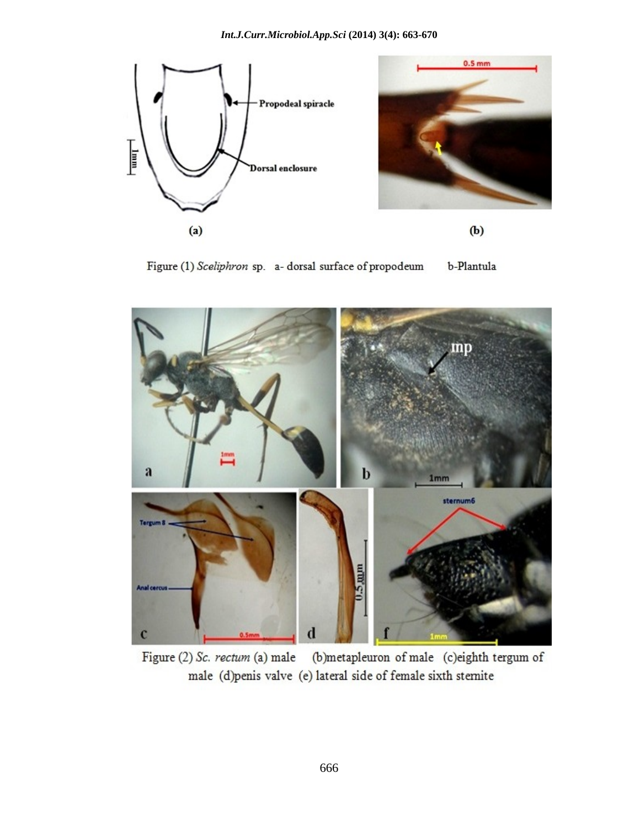

Figure (1) Sceliphron sp. a- dorsal surface of propodeum b-Plantula



Figure (2) Sc. rectum (a) male (b)metapleuron of male (c)eighth tergum of male (d)penis valve (e) lateral side of female sixth stemite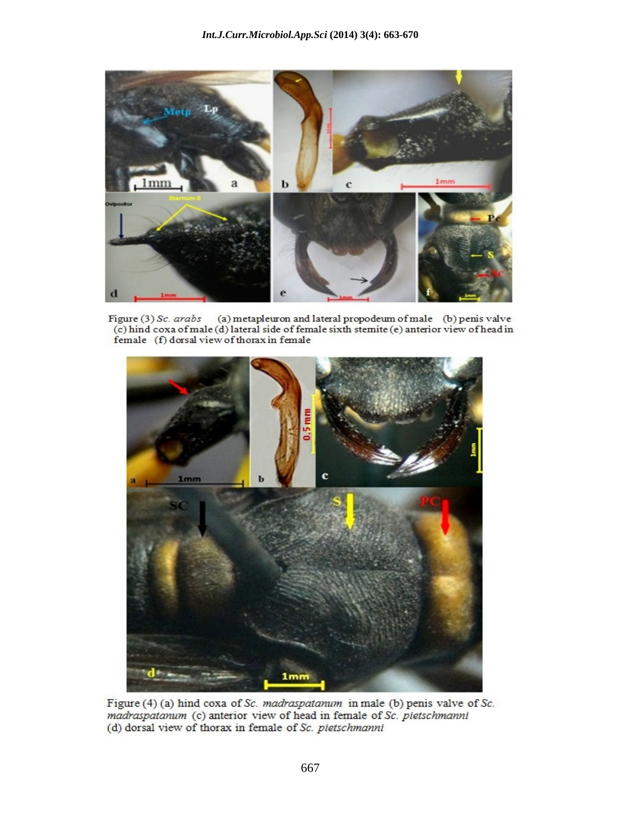

Figure (3) Sc. arabs (a) metapleuron and lateral propodeum of male (b) penis valve (c) hind coxa of male (d) lateral side of female sixth stemite (e) anterior view of head in female (f) dorsal view of thorax in female



Figure (4) (a) hind coxa of Sc. madraspatanum in male (b) penis valve of Sc. madraspatanum (c) anterior view of head in female of Sc. pietschmanni (d) dorsal view of thorax in female of Sc. pietschmanni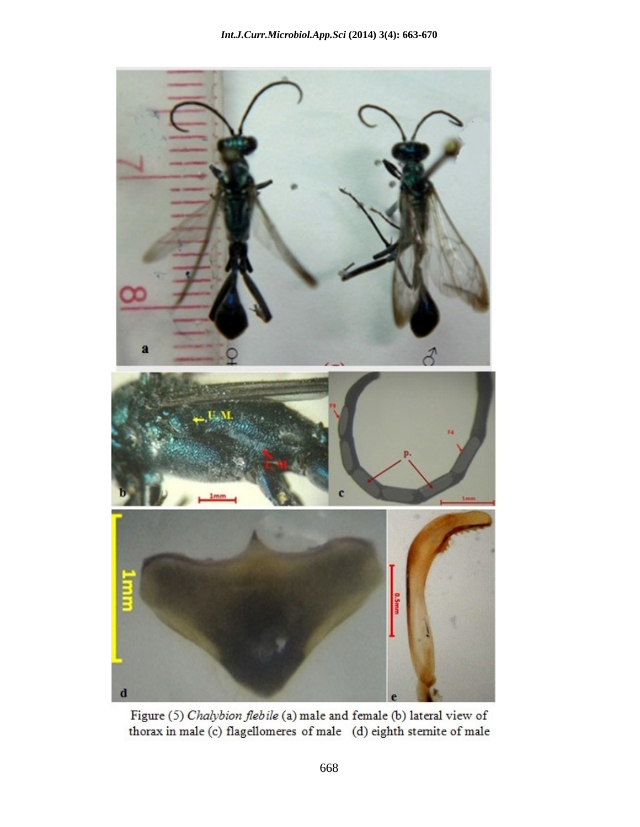

Figure (5) Chalybion flebile (a) male and female (b) lateral view of thorax in male (c) flagellomeres of male (d) eighth stemite of male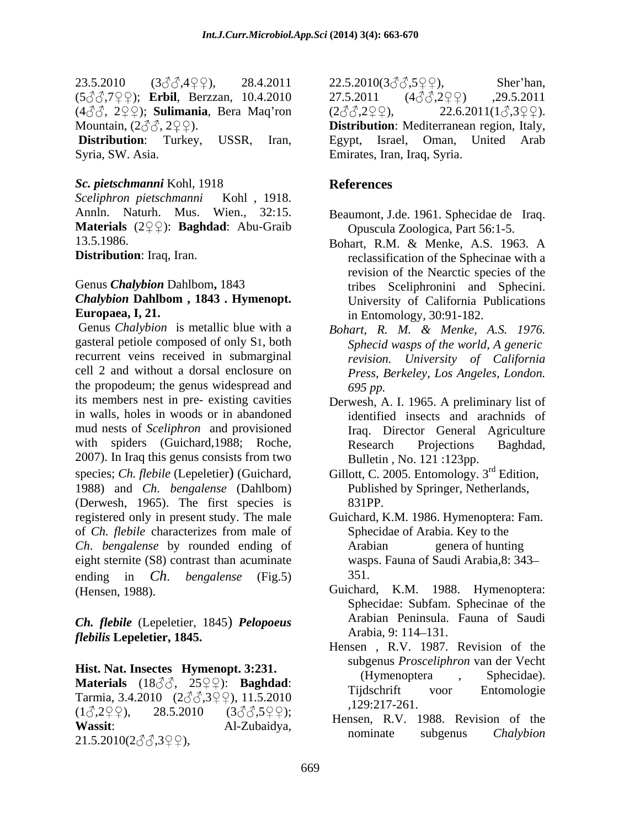23.5.2010  $(3\sqrt[3]{3},4\sqrt[3]{2})$ , 28.4.2011  $22.5.2010(3\sqrt[3]{3},5\sqrt[3]{2})$ , Sher'han,  $(5\text{AA}7\text{A}9\text{A})$ ; **Erbil**, Berzzan, 10.4.2010 <br> 27.5.2011  $(4\text{AA}2\text{A}9\text{A})$  .29.5.2011  $(4\text{A}\mathcal{A}, 2\text{Q}\mathcal{A})$ ; **Sulimania**, Bera Maq'ron  $(2\text{A}\mathcal{A}, 2\text{Q}\mathcal{A})$ ,  $22.6.2011(1\text{A}, 3\text{Q}\mathcal{A})$ .

**Distribution**: Turkey, USSR, Iran, Egypt, Israel, Oman, United Arab Syria, SW. Asia. **Example 18 and Syria** Emirates, Iran, Iraq, Syria.

### *Sc. pietschmanni* Kohl, 1918

*Sceliphron pietschmanni* Kohl , 1918. Annln. Naturh. Mus. Wien., 32:15. **Materials** (2QQ): **Baghdad**: Abu-Graib 13.5.1986.

Genus *Chalybion* is metallic blue with a *Bohart, R. M. & Menke, A.S. 1976.* gasteral petiole composed of only S1, both recurrent veins received in submarginal cell 2 and without a dorsal enclosure on *Press, Berkeley, Los Angeles, London.* the propodeum; the genus widespread and  $695 \text{ pp}$ . its members nest in pre- existing cavities Derwesh, A. I. 1965. A preliminary list of in walls, holes in woods or in abandoned mud nests of *Sceliphron* and provisioned with spiders (Guichard, 1988; Roche, Research Projections Baghdad, 2007). In Iraq this genus consists from two species; *Ch. flebile* (Lepeletier) (Guichard, Gillott, C. 2005. Entomology. 3<sup>rd</sup> Edition, 1988) and *Ch*. *bengalense* (Dahlbom) (Derwesh, 1965). The first species is registered only in present study. The male of *Ch. flebile* characterizes from male of *Ch*. *bengalense* by rounded ending of eight sternite (S8) contrast than acuminate ending in *Ch*. *bengalense* (Fig.5) (Hensen, 1988). Guichard, K.M. 1988. Hymenoptera:

*Ch. flebile* (Lepeletier, 1845) *Pelopoeus flebilis* **Lepeletier, 1845.**

**Materials** (18 $\Im$  , 25 $\Im$  ): **Baghdad**: (**11**) increduced to the spectrum. Tarmia, 3.4.2010  $(2 \text{AA} 3 \text{A} \text{A} \text{B})$ , 11.5.2010 (1 ,2 ), 28.5.2010 (3 ,5 ); Wassit: Al-Zubaidya, herista, R.V. 1700. Revision of the  $21.5.2010(2\text{AA}$ ,  $3\text{AA}$ ,  $9\text{AA}$ ,  $1.5.2010(2\text{AA}$ ,  $3\text{AA}$ ,  $9\text{AA}$ 

Mountain,  $(2\text{d} \text{d}, 2\text{d} \text{d})$ . **Distribution**: Mediterranean region, Italy,  $22.5.2010(3\text{eV}, 5\text{eV})$ , Sher'han,<br>27.5.2011 (4 $\text{eV}, 2\text{eV}$ ) ,29.5.2011  $(2\text{d} \mathcal{L} \mathcal{L} \mathcal{L} \mathcal{L} \mathcal{L} \mathcal{L}),$  22.6.2011( $1\text{d} \mathcal{L} \mathcal{L} \mathcal{L} \mathcal{L} \mathcal{L}$ ). Egypt, Israel, Oman, United Arab Emirates, Iran, Iraq, Syria.

### **References**

- Beaumont, J.de. 1961. Sphecidae de Iraq. Opuscula Zoologica, Part 56:1-5.
- **Distribution**: Iraq, Iran. reclassification of the Sphecinae with a Genus *Chalybion* Dahlbom**,** 1843 tribes Sceliphronini and Sphecini. *Chalybion* **Dahlbom , 1843 . Hymenopt. Europaea, I, 21.** The same of the same of the state of the state of the state of the state of the state of the state of the state of the state of the state of the state of the state of the state of the state of the state Bohart, R.M. & Menke, A.S. 1963. A revision of the Nearctic species of the University of California Publications
	- *Sphecid wasps of the world, A generic revision. University of California 695 pp.*
	- identified insects and arachnids of Iraq. Director General Agriculture Research Projections Baghdad, Bulletin , No. 121 :123pp.
	- Published by Springer, Netherlands, 831PP.
	- Guichard, K.M. 1986. Hymenoptera: Fam. Sphecidae of Arabia. Key to the genera of hunting wasps. Fauna of Saudi Arabia,8: 343 351.
	- Sphecidae: Subfam. Sphecinae of the Arabian Peninsula. Fauna of Saudi Arabia, 9: 114–131.
- **Hist. Nat. Insectes Hymenopt. 3:231.** (Hymenoptera , Sphecidae). Hensen , R.V. 1987. Revision of the subgenus *Prosceliphron* van der Vecht (Hymenoptera , Sphecidae). Tijdschrift voor Entomologie ,129:217-261.
	- Hensen, R.V. 1988. Revision of the nominate subgenus *Chalybion*